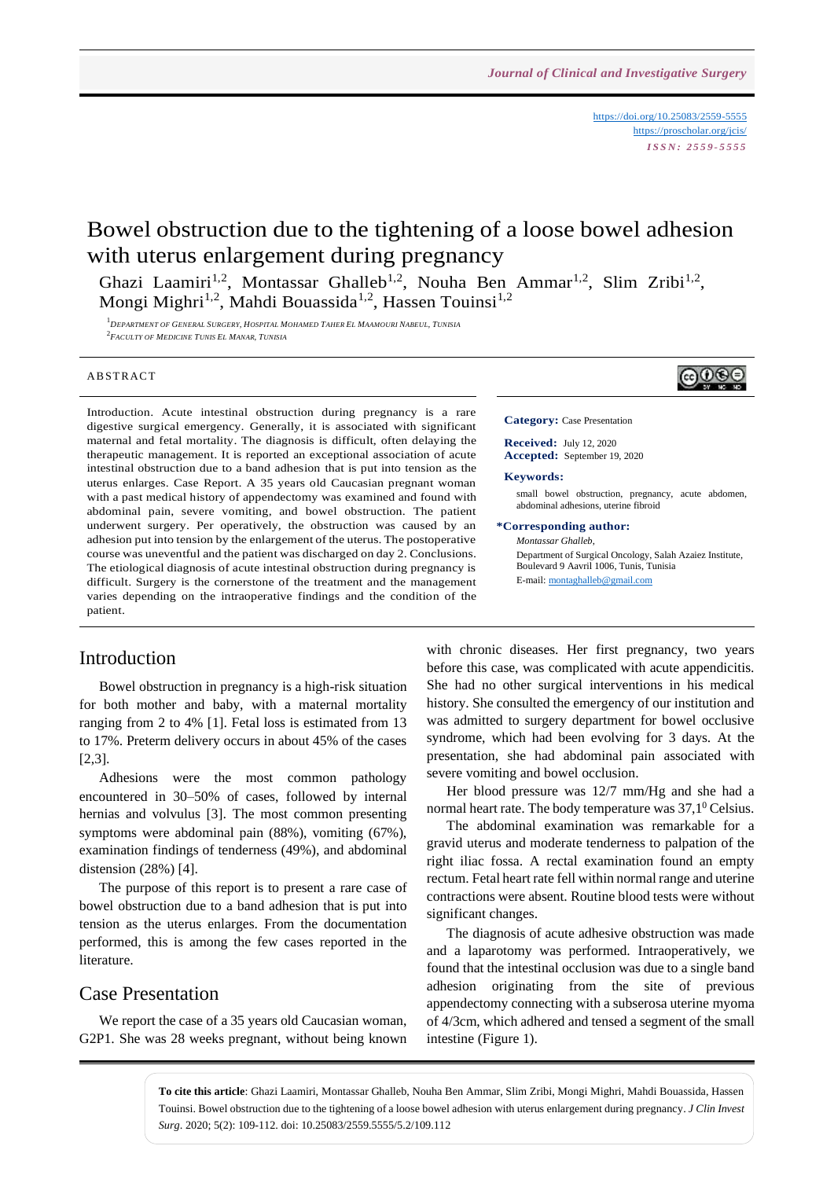<https://doi.org/10.25083/2559-5555> <https://proscholar.org/jcis/> *I S S N : 2 5 5 9 - 5 5 5 5*

 $@@@@$ 

# Bowel obstruction due to the tightening of a loose bowel adhesion with uterus enlargement during pregnancy

Ghazi Laamiri<sup>1,2</sup>, Montassar Ghalleb<sup>1,2</sup>, Nouha Ben Ammar<sup>1,2</sup>, Slim Zribi<sup>1,2</sup>, Mongi Mighri<sup>1,2</sup>, Mahdi Bouassida<sup>1,2</sup>, Hassen Touinsi<sup>1,2</sup>

 $^1$ DEPARTMENT OF GENERAL SURGERY. HOSPITAL MOHAMED TAHER EL MAAMOURI NABEUL. TUNISIA 2 *FACULTY OF MEDICINE TUNIS EL MANAR, TUNISIA*

#### **ABSTRACT**

Introduction. Acute intestinal obstruction during pregnancy is a rare digestive surgical emergency. Generally, it is associated with significant maternal and fetal mortality. The diagnosis is difficult, often delaying the therapeutic management. It is reported an exceptional association of acute intestinal obstruction due to a band adhesion that is put into tension as the uterus enlarges. Case Report. A 35 years old Caucasian pregnant woman with a past medical history of appendectomy was examined and found with abdominal pain, severe vomiting, and bowel obstruction. The patient underwent surgery. Per operatively, the obstruction was caused by an adhesion put into tension by the enlargement of the uterus. The postoperative course was uneventful and the patient was discharged on day 2. Conclusions. The etiological diagnosis of acute intestinal obstruction during pregnancy is difficult. Surgery is the cornerstone of the treatment and the management varies depending on the intraoperative findings and the condition of the patient.

### Introduction

Bowel obstruction in pregnancy is a high-risk situation for both mother and baby, with a maternal mortality ranging from 2 to 4% [1]. Fetal loss is estimated from 13 to 17%. Preterm delivery occurs in about 45% of the cases [2,3].

Adhesions were the most common pathology encountered in 30–50% of cases, followed by internal hernias and volvulus [3]. The most common presenting symptoms were abdominal pain (88%), vomiting (67%), examination findings of tenderness (49%), and abdominal distension (28%) [4].

The purpose of this report is to present a rare case of bowel obstruction due to a band adhesion that is put into tension as the uterus enlarges. From the documentation performed, this is among the few cases reported in the literature.

### Case Presentation

We report the case of a 35 years old Caucasian woman, G2P1. She was 28 weeks pregnant, without being known **Category:** Case Presentation

**Received:** July 12, 2020 **Accepted:** September 19, 2020

#### **Keywords:**

small bowel obstruction, pregnancy, acute abdomen, abdominal adhesions, uterine fibroid

#### **\*Corresponding author:**

*Montassar Ghalleb*, Department of Surgical Oncology, Salah Azaiez Institute, Boulevard 9 Aavril 1006, Tunis, Tunisia E-mail[: montaghalleb@gmail.com](mailto:montaghalleb@gmail.com)

with chronic diseases. Her first pregnancy, two years before this case, was complicated with acute appendicitis. She had no other surgical interventions in his medical history. She consulted the emergency of our institution and was admitted to surgery department for bowel occlusive syndrome, which had been evolving for 3 days. At the presentation, she had abdominal pain associated with severe vomiting and bowel occlusion.

Her blood pressure was 12/7 mm/Hg and she had a normal heart rate. The body temperature was  $37.1^\circ$  Celsius.

The abdominal examination was remarkable for a gravid uterus and moderate tenderness to palpation of the right iliac fossa. A rectal examination found an empty rectum. Fetal heart rate fell within normal range and uterine contractions were absent. Routine blood tests were without significant changes.

The diagnosis of acute adhesive obstruction was made and a laparotomy was performed. Intraoperatively, we found that the intestinal occlusion was due to a single band adhesion originating from the site of previous appendectomy connecting with a subserosa uterine myoma of 4/3cm, which adhered and tensed a segment of the small intestine (Figure 1).

**To cite this article**: Ghazi Laamiri, Montassar Ghalleb, Nouha Ben Ammar, Slim Zribi, Mongi Mighri, Mahdi Bouassida, Hassen Touinsi. Bowel obstruction due to the tightening of a loose bowel adhesion with uterus enlargement during pregnancy. *J Clin Invest Surg*. 2020; 5(2): 109-112. doi: 10.25083/2559.5555/5.2/109.112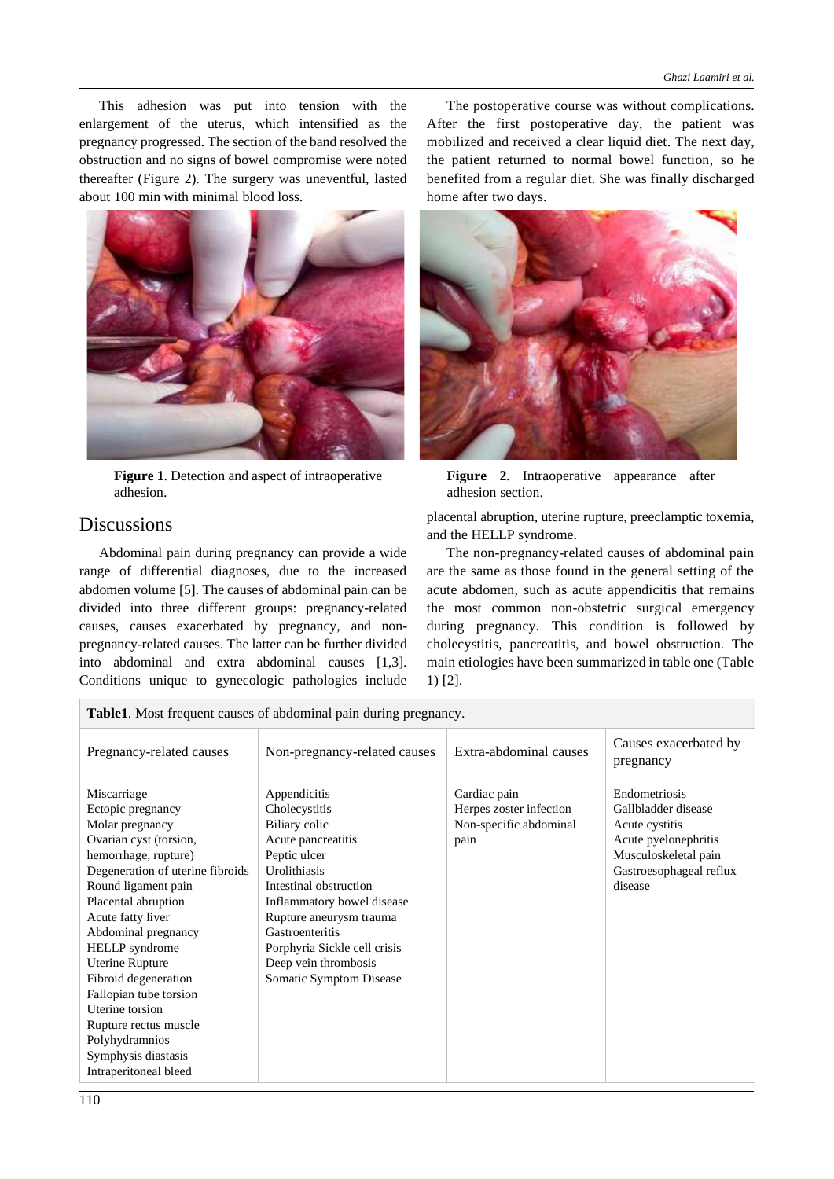This adhesion was put into tension with the enlargement of the uterus, which intensified as the pregnancy progressed. The section of the band resolved the obstruction and no signs of bowel compromise were noted thereafter (Figure 2). The surgery was uneventful, lasted about 100 min with minimal blood loss.



**Figure 1**. Detection and aspect of intraoperative adhesion.

# **Discussions**

 $\overline{a}$ 

Abdominal pain during pregnancy can provide a wide range of differential diagnoses, due to the increased abdomen volume [5]. The causes of abdominal pain can be divided into three different groups: pregnancy-related causes, causes exacerbated by pregnancy, and nonpregnancy-related causes. The latter can be further divided into abdominal and extra abdominal causes [1,3]. Conditions unique to gynecologic pathologies include

The postoperative course was without complications. After the first postoperative day, the patient was mobilized and received a clear liquid diet. The next day, the patient returned to normal bowel function, so he benefited from a regular diet. She was finally discharged home after two days.



**Figure 2**. Intraoperative appearance after adhesion section.

placental abruption, uterine rupture, preeclamptic toxemia, and the HELLP syndrome.

The non-pregnancy-related causes of abdominal pain are the same as those found in the general setting of the acute abdomen, such as acute appendicitis that remains the most common non-obstetric surgical emergency during pregnancy. This condition is followed by cholecystitis, pancreatitis, and bowel obstruction. The main etiologies have been summarized in table one (Table 1) [2].

| <b>Table1.</b> Most frequent causes of abdominal pain during pregnancy. |                              |                         |                                    |
|-------------------------------------------------------------------------|------------------------------|-------------------------|------------------------------------|
| Pregnancy-related causes                                                | Non-pregnancy-related causes | Extra-abdominal causes  | Causes exacerbated by<br>pregnancy |
| Miscarriage                                                             | Appendicitis                 | Cardiac pain            | Endometriosis                      |
| Ectopic pregnancy                                                       | Cholecystitis                | Herpes zoster infection | Gallbladder disease                |
| Molar pregnancy                                                         | Biliary colic                | Non-specific abdominal  | Acute cystitis                     |
| Ovarian cyst (torsion,                                                  | Acute pancreatitis           | pain                    | Acute pyelonephritis               |
| hemorrhage, rupture)                                                    | Peptic ulcer                 |                         | Musculoskeletal pain               |
| Degeneration of uterine fibroids                                        | Urolithiasis                 |                         | Gastroesophageal reflux            |
| Round ligament pain                                                     | Intestinal obstruction       |                         | disease                            |
| Placental abruption                                                     | Inflammatory bowel disease   |                         |                                    |
| Acute fatty liver                                                       | Rupture aneurysm trauma      |                         |                                    |
| Abdominal pregnancy                                                     | Gastroenteritis              |                         |                                    |
| <b>HELLP</b> syndrome                                                   | Porphyria Sickle cell crisis |                         |                                    |
| <b>Uterine Rupture</b>                                                  | Deep vein thrombosis         |                         |                                    |
| Fibroid degeneration                                                    | Somatic Symptom Disease      |                         |                                    |
| Fallopian tube torsion                                                  |                              |                         |                                    |
| Uterine torsion                                                         |                              |                         |                                    |
| Rupture rectus muscle                                                   |                              |                         |                                    |
| Polyhydramnios                                                          |                              |                         |                                    |
| Symphysis diastasis                                                     |                              |                         |                                    |
| Intraperitoneal bleed                                                   |                              |                         |                                    |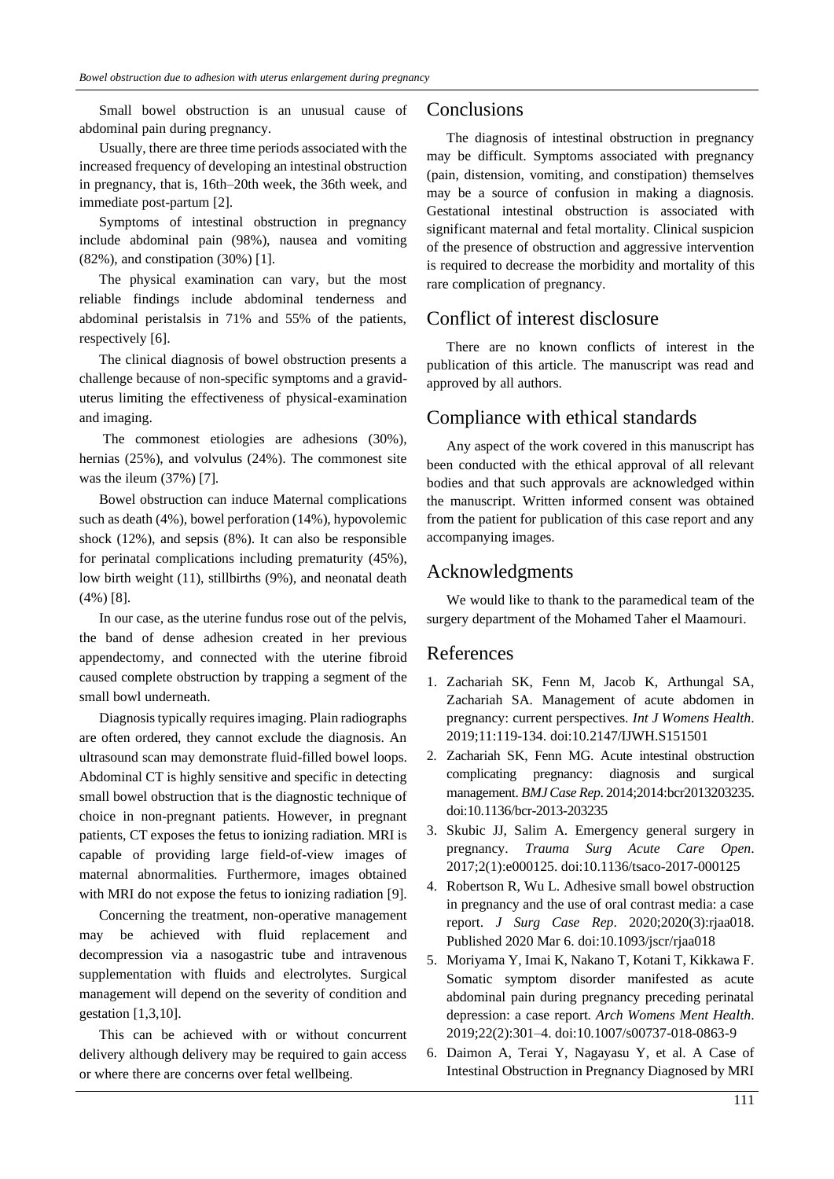Small bowel obstruction is an unusual cause of abdominal pain during pregnancy.

Usually, there are three time periods associated with the increased frequency of developing an intestinal obstruction in pregnancy, that is, 16th–20th week, the 36th week, and immediate post-partum [2].

Symptoms of intestinal obstruction in pregnancy include abdominal pain (98%), nausea and vomiting (82%), and constipation (30%) [1].

The physical examination can vary, but the most reliable findings include abdominal tenderness and abdominal peristalsis in 71% and 55% of the patients, respectively [6].

The clinical diagnosis of bowel obstruction presents a challenge because of non-specific symptoms and a graviduterus limiting the effectiveness of physical-examination and imaging.

The commonest etiologies are adhesions (30%), hernias (25%), and volvulus (24%). The commonest site was the ileum (37%) [7].

Bowel obstruction can induce Maternal complications such as death (4%), bowel perforation (14%), hypovolemic shock (12%), and sepsis (8%). It can also be responsible for perinatal complications including prematurity (45%), low birth weight (11), stillbirths (9%), and neonatal death (4%) [8].

In our case, as the uterine fundus rose out of the pelvis, the band of dense adhesion created in her previous appendectomy, and connected with the uterine fibroid caused complete obstruction by trapping a segment of the small bowl underneath.

Diagnosis typically requires imaging. Plain radiographs are often ordered, they cannot exclude the diagnosis. An ultrasound scan may demonstrate fluid-filled bowel loops. Abdominal CT is highly sensitive and specific in detecting small bowel obstruction that is the diagnostic technique of choice in non-pregnant patients. However, in pregnant patients, CT exposes the fetus to ionizing radiation. MRI is capable of providing large field-of-view images of maternal abnormalities. Furthermore, images obtained with MRI do not expose the fetus to ionizing radiation [9].

Concerning the treatment, non-operative management may be achieved with fluid replacement and decompression via a nasogastric tube and intravenous supplementation with fluids and electrolytes. Surgical management will depend on the severity of condition and gestation [1,3,10].

This can be achieved with or without concurrent delivery although delivery may be required to gain access or where there are concerns over fetal wellbeing.

# **Conclusions**

The diagnosis of intestinal obstruction in pregnancy may be difficult. Symptoms associated with pregnancy (pain, distension, vomiting, and constipation) themselves may be a source of confusion in making a diagnosis. Gestational intestinal obstruction is associated with significant maternal and fetal mortality. Clinical suspicion of the presence of obstruction and aggressive intervention is required to decrease the morbidity and mortality of this rare complication of pregnancy.

# Conflict of interest disclosure

There are no known conflicts of interest in the publication of this article. The manuscript was read and approved by all authors.

# Compliance with ethical standards

Any aspect of the work covered in this manuscript has been conducted with the ethical approval of all relevant bodies and that such approvals are acknowledged within the manuscript. Written informed consent was obtained from the patient for publication of this case report and any accompanying images.

# Acknowledgments

We would like to thank to the paramedical team of the surgery department of the Mohamed Taher el Maamouri.

### References

- 1. Zachariah SK, Fenn M, Jacob K, Arthungal SA, Zachariah SA. Management of acute abdomen in pregnancy: current perspectives. *Int J Womens Health*. 2019;11:119-134. doi:10.2147/IJWH.S151501
- 2. Zachariah SK, Fenn MG. Acute intestinal obstruction complicating pregnancy: diagnosis and surgical management. *BMJ Case Rep*. 2014;2014:bcr2013203235. doi:10.1136/bcr-2013-203235
- 3. Skubic JJ, Salim A. Emergency general surgery in pregnancy. *Trauma Surg Acute Care Open*. 2017;2(1):e000125. doi:10.1136/tsaco-2017-000125
- 4. Robertson R, Wu L. Adhesive small bowel obstruction in pregnancy and the use of oral contrast media: a case report. *J Surg Case Rep*. 2020;2020(3):rjaa018. Published 2020 Mar 6. doi:10.1093/jscr/rjaa018
- 5. Moriyama Y, Imai K, Nakano T, Kotani T, Kikkawa F. Somatic symptom disorder manifested as acute abdominal pain during pregnancy preceding perinatal depression: a case report. *Arch Womens Ment Health*. 2019;22(2):301–4. doi:10.1007/s00737-018-0863-9
- 6. Daimon A, Terai Y, Nagayasu Y, et al. A Case of Intestinal Obstruction in Pregnancy Diagnosed by MRI